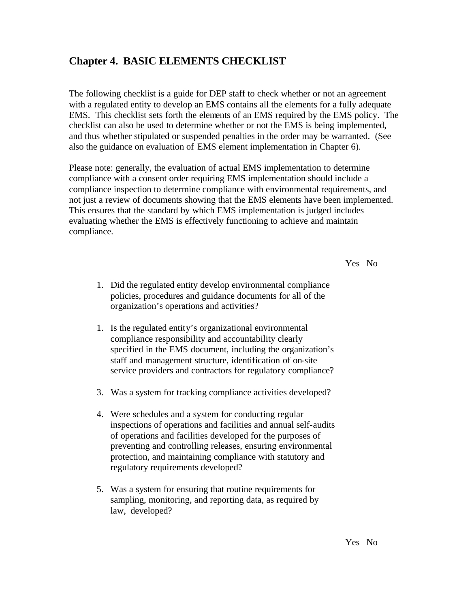# **Chapter 4. BASIC ELEMENTS CHECKLIST**

The following checklist is a guide for DEP staff to check whether or not an agreement with a regulated entity to develop an EMS contains all the elements for a fully adequate EMS. This checklist sets forth the elements of an EMS required by the EMS policy. The checklist can also be used to determine whether or not the EMS is being implemented, and thus whether stipulated or suspended penalties in the order may be warranted. (See also the guidance on evaluation of EMS element implementation in Chapter 6).

Please note: generally, the evaluation of actual EMS implementation to determine compliance with a consent order requiring EMS implementation should include a compliance inspection to determine compliance with environmental requirements, and not just a review of documents showing that the EMS elements have been implemented. This ensures that the standard by which EMS implementation is judged includes evaluating whether the EMS is effectively functioning to achieve and maintain compliance.

Yes No

- 1. Did the regulated entity develop environmental compliance policies, procedures and guidance documents for all of the organization's operations and activities?
- 1. Is the regulated entity's organizational environmental compliance responsibility and accountability clearly specified in the EMS document, including the organization's staff and management structure, identification of on-site service providers and contractors for regulatory compliance?
- 3. Was a system for tracking compliance activities developed?
- 4. Were schedules and a system for conducting regular inspections of operations and facilities and annual self-audits of operations and facilities developed for the purposes of preventing and controlling releases, ensuring environmental protection, and maintaining compliance with statutory and regulatory requirements developed?
- 5. Was a system for ensuring that routine requirements for sampling, monitoring, and reporting data, as required by law, developed?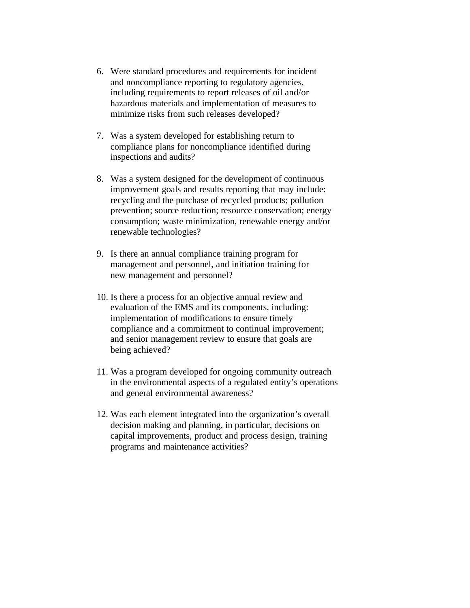- 6. Were standard procedures and requirements for incident and noncompliance reporting to regulatory agencies, including requirements to report releases of oil and/or hazardous materials and implementation of measures to minimize risks from such releases developed?
- 7. Was a system developed for establishing return to compliance plans for noncompliance identified during inspections and audits?
- 8. Was a system designed for the development of continuous improvement goals and results reporting that may include: recycling and the purchase of recycled products; pollution prevention; source reduction; resource conservation; energy consumption; waste minimization, renewable energy and/or renewable technologies?
- 9. Is there an annual compliance training program for management and personnel, and initiation training for new management and personnel?
- 10. Is there a process for an objective annual review and evaluation of the EMS and its components, including: implementation of modifications to ensure timely compliance and a commitment to continual improvement; and senior management review to ensure that goals are being achieved?
- 11. Was a program developed for ongoing community outreach in the environmental aspects of a regulated entity's operations and general environmental awareness?
- 12. Was each element integrated into the organization's overall decision making and planning, in particular, decisions on capital improvements, product and process design, training programs and maintenance activities?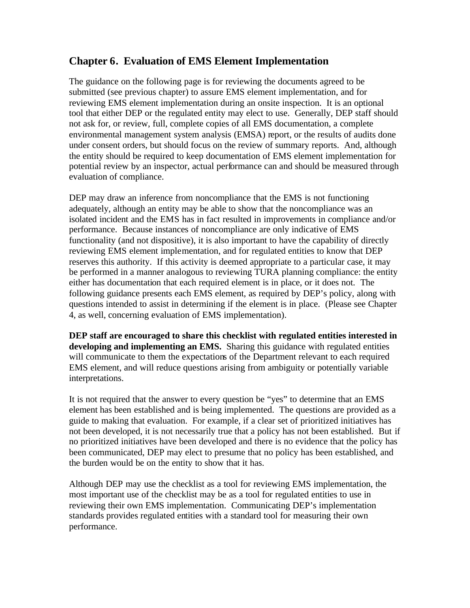# **Chapter 6. Evaluation of EMS Element Implementation**

The guidance on the following page is for reviewing the documents agreed to be submitted (see previous chapter) to assure EMS element implementation, and for reviewing EMS element implementation during an onsite inspection. It is an optional tool that either DEP or the regulated entity may elect to use. Generally, DEP staff should not ask for, or review, full, complete copies of all EMS documentation, a complete environmental management system analysis (EMSA) report, or the results of audits done under consent orders, but should focus on the review of summary reports. And, although the entity should be required to keep documentation of EMS element implementation for potential review by an inspector, actual performance can and should be measured through evaluation of compliance.

DEP may draw an inference from noncompliance that the EMS is not functioning adequately, although an entity may be able to show that the noncompliance was an isolated incident and the EMS has in fact resulted in improvements in compliance and/or performance. Because instances of noncompliance are only indicative of EMS functionality (and not dispositive), it is also important to have the capability of directly reviewing EMS element implementation, and for regulated entities to know that DEP reserves this authority. If this activity is deemed appropriate to a particular case, it may be performed in a manner analogous to reviewing TURA planning compliance: the entity either has documentation that each required element is in place, or it does not. The following guidance presents each EMS element, as required by DEP's policy, along with questions intended to assist in determining if the element is in place. (Please see Chapter 4, as well, concerning evaluation of EMS implementation).

**DEP staff are encouraged to share this checklist with regulated entities interested in developing and implementing an EMS.** Sharing this guidance with regulated entities will communicate to them the expectations of the Department relevant to each required EMS element, and will reduce questions arising from ambiguity or potentially variable interpretations.

It is not required that the answer to every question be "yes" to determine that an EMS element has been established and is being implemented. The questions are provided as a guide to making that evaluation. For example, if a clear set of prioritized initiatives has not been developed, it is not necessarily true that a policy has not been established. But if no prioritized initiatives have been developed and there is no evidence that the policy has been communicated, DEP may elect to presume that no policy has been established, and the burden would be on the entity to show that it has.

Although DEP may use the checklist as a tool for reviewing EMS implementation, the most important use of the checklist may be as a tool for regulated entities to use in reviewing their own EMS implementation. Communicating DEP's implementation standards provides regulated entities with a standard tool for measuring their own performance.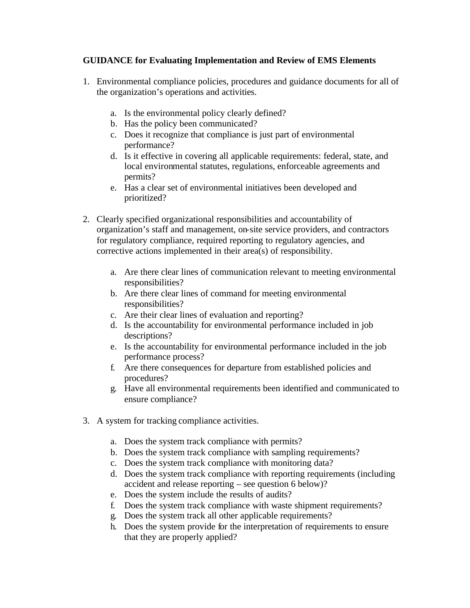### **GUIDANCE for Evaluating Implementation and Review of EMS Elements**

- 1. Environmental compliance policies, procedures and guidance documents for all of the organization's operations and activities.
	- a. Is the environmental policy clearly defined?
	- b. Has the policy been communicated?
	- c. Does it recognize that compliance is just part of environmental performance?
	- d. Is it effective in covering all applicable requirements: federal, state, and local environmental statutes, regulations, enforceable agreements and permits?
	- e. Has a clear set of environmental initiatives been developed and prioritized?
- 2. Clearly specified organizational responsibilities and accountability of organization's staff and management, on-site service providers, and contractors for regulatory compliance, required reporting to regulatory agencies, and corrective actions implemented in their area(s) of responsibility.
	- a. Are there clear lines of communication relevant to meeting environmental responsibilities?
	- b. Are there clear lines of command for meeting environmental responsibilities?
	- c. Are their clear lines of evaluation and reporting?
	- d. Is the accountability for environmental performance included in job descriptions?
	- e. Is the accountability for environmental performance included in the job performance process?
	- f. Are there consequences for departure from established policies and procedures?
	- g. Have all environmental requirements been identified and communicated to ensure compliance?
- 3. A system for tracking compliance activities.
	- a. Does the system track compliance with permits?
	- b. Does the system track compliance with sampling requirements?
	- c. Does the system track compliance with monitoring data?
	- d. Does the system track compliance with reporting requirements (including accident and release reporting – see question 6 below)?
	- e. Does the system include the results of audits?
	- f. Does the system track compliance with waste shipment requirements?
	- g. Does the system track all other applicable requirements?
	- h. Does the system provide for the interpretation of requirements to ensure that they are properly applied?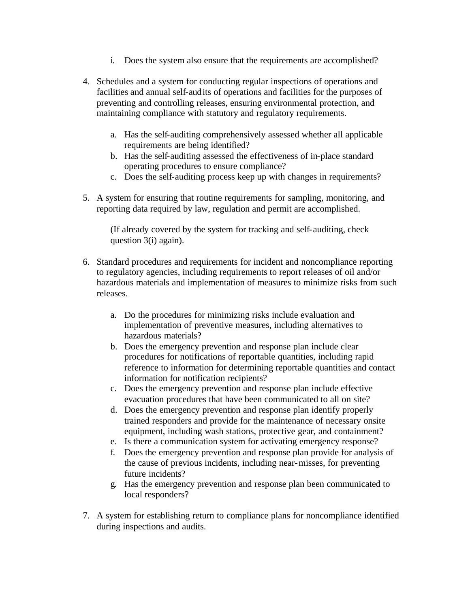- i. Does the system also ensure that the requirements are accomplished?
- 4. Schedules and a system for conducting regular inspections of operations and facilities and annual self-audits of operations and facilities for the purposes of preventing and controlling releases, ensuring environmental protection, and maintaining compliance with statutory and regulatory requirements.
	- a. Has the self-auditing comprehensively assessed whether all applicable requirements are being identified?
	- b. Has the self-auditing assessed the effectiveness of in-place standard operating procedures to ensure compliance?
	- c. Does the self-auditing process keep up with changes in requirements?
- 5. A system for ensuring that routine requirements for sampling, monitoring, and reporting data required by law, regulation and permit are accomplished.

(If already covered by the system for tracking and self-auditing, check question 3(i) again).

- 6. Standard procedures and requirements for incident and noncompliance reporting to regulatory agencies, including requirements to report releases of oil and/or hazardous materials and implementation of measures to minimize risks from such releases.
	- a. Do the procedures for minimizing risks include evaluation and implementation of preventive measures, including alternatives to hazardous materials?
	- b. Does the emergency prevention and response plan include clear procedures for notifications of reportable quantities, including rapid reference to information for determining reportable quantities and contact information for notification recipients?
	- c. Does the emergency prevention and response plan include effective evacuation procedures that have been communicated to all on site?
	- d. Does the emergency prevention and response plan identify properly trained responders and provide for the maintenance of necessary onsite equipment, including wash stations, protective gear, and containment?
	- e. Is there a communication system for activating emergency response?
	- f. Does the emergency prevention and response plan provide for analysis of the cause of previous incidents, including near-misses, for preventing future incidents?
	- g. Has the emergency prevention and response plan been communicated to local responders?
- 7. A system for establishing return to compliance plans for noncompliance identified during inspections and audits.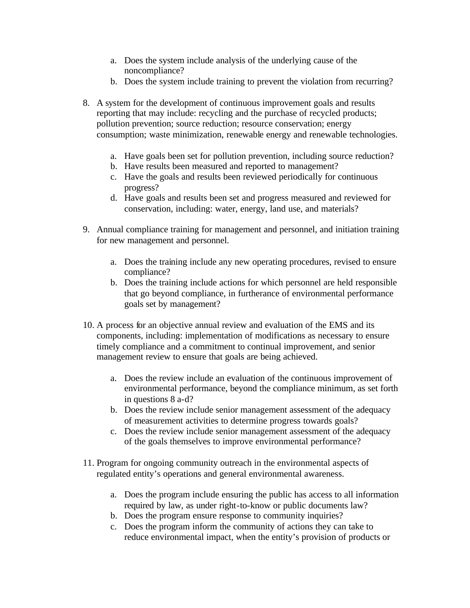- a. Does the system include analysis of the underlying cause of the noncompliance?
- b. Does the system include training to prevent the violation from recurring?
- 8. A system for the development of continuous improvement goals and results reporting that may include: recycling and the purchase of recycled products; pollution prevention; source reduction; resource conservation; energy consumption; waste minimization, renewable energy and renewable technologies.
	- a. Have goals been set for pollution prevention, including source reduction?
	- b. Have results been measured and reported to management?
	- c. Have the goals and results been reviewed periodically for continuous progress?
	- d. Have goals and results been set and progress measured and reviewed for conservation, including: water, energy, land use, and materials?
- 9. Annual compliance training for management and personnel, and initiation training for new management and personnel.
	- a. Does the training include any new operating procedures, revised to ensure compliance?
	- b. Does the training include actions for which personnel are held responsible that go beyond compliance, in furtherance of environmental performance goals set by management?
- 10. A process for an objective annual review and evaluation of the EMS and its components, including: implementation of modifications as necessary to ensure timely compliance and a commitment to continual improvement, and senior management review to ensure that goals are being achieved.
	- a. Does the review include an evaluation of the continuous improvement of environmental performance, beyond the compliance minimum, as set forth in questions 8 a-d?
	- b. Does the review include senior management assessment of the adequacy of measurement activities to determine progress towards goals?
	- c. Does the review include senior management assessment of the adequacy of the goals themselves to improve environmental performance?
- 11. Program for ongoing community outreach in the environmental aspects of regulated entity's operations and general environmental awareness.
	- a. Does the program include ensuring the public has access to all information required by law, as under right-to-know or public documents law?
	- b. Does the program ensure response to community inquiries?
	- c. Does the program inform the community of actions they can take to reduce environmental impact, when the entity's provision of products or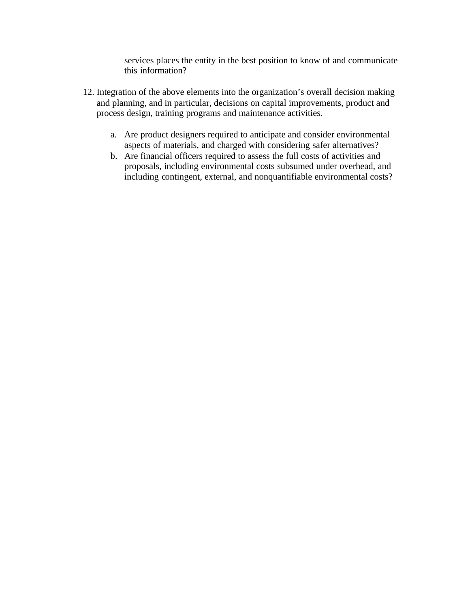services places the entity in the best position to know of and communicate this information?

- 12. Integration of the above elements into the organization's overall decision making and planning, and in particular, decisions on capital improvements, product and process design, training programs and maintenance activities.
	- a. Are product designers required to anticipate and consider environmental aspects of materials, and charged with considering safer alternatives?
	- b. Are financial officers required to assess the full costs of activities and proposals, including environmental costs subsumed under overhead, and including contingent, external, and nonquantifiable environmental costs?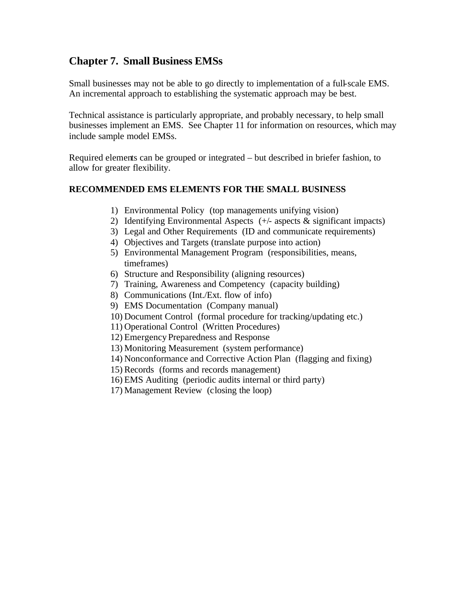# **Chapter 7. Small Business EMSs**

Small businesses may not be able to go directly to implementation of a full-scale EMS. An incremental approach to establishing the systematic approach may be best.

Technical assistance is particularly appropriate, and probably necessary, to help small businesses implement an EMS. See Chapter 11 for information on resources, which may include sample model EMSs.

Required elements can be grouped or integrated – but described in briefer fashion, to allow for greater flexibility.

### **RECOMMENDED EMS ELEMENTS FOR THE SMALL BUSINESS**

- 1) Environmental Policy (top managements unifying vision)
- 2) Identifying Environmental Aspects  $(+/-$  aspects  $\&$  significant impacts)
- 3) Legal and Other Requirements (ID and communicate requirements)
- 4) Objectives and Targets (translate purpose into action)
- 5) Environmental Management Program (responsibilities, means, timeframes)
- 6) Structure and Responsibility (aligning resources)
- 7) Training, Awareness and Competency (capacity building)
- 8) Communications (Int./Ext. flow of info)
- 9) EMS Documentation (Company manual)
- 10) Document Control (formal procedure for tracking/updating etc.)
- 11) Operational Control (Written Procedures)
- 12) Emergency Preparedness and Response
- 13) Monitoring Measurement (system performance)
- 14) Nonconformance and Corrective Action Plan (flagging and fixing)
- 15) Records (forms and records management)
- 16) EMS Auditing (periodic audits internal or third party)
- 17) Management Review (closing the loop)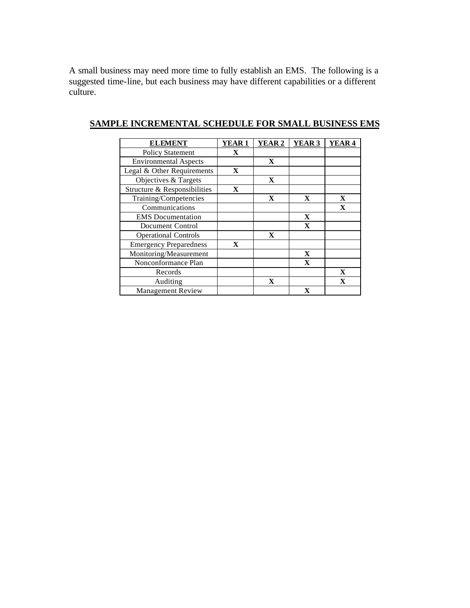A small business may need more time to fully establish an EMS. The following is a suggested time-line, but each business may have different capabilities or a different culture.

| <b>ELEMENT</b>                | <b>YEAR1</b> | <b>YEAR 2</b> | YEAR 3       | YEAR <sub>4</sub> |
|-------------------------------|--------------|---------------|--------------|-------------------|
| <b>Policy Statement</b>       | $\mathbf{X}$ |               |              |                   |
| <b>Environmental Aspects</b>  |              | $\mathbf{X}$  |              |                   |
| Legal & Other Requirements    | $\mathbf X$  |               |              |                   |
| Objectives & Targets          |              | $\mathbf{X}$  |              |                   |
| Structure & Responsibilities  | X            |               |              |                   |
| Training/Competencies         |              | X             | X            | $\mathbf X$       |
| Communications                |              |               |              | $\mathbf{X}$      |
| <b>EMS</b> Documentation      |              |               | $\mathbf X$  |                   |
| Document Control              |              |               | $\mathbf{x}$ |                   |
| <b>Operational Controls</b>   |              | X             |              |                   |
| <b>Emergency Preparedness</b> | X            |               |              |                   |
| Monitoring/Measurement        |              |               | X            |                   |
| Nonconformance Plan           |              |               | $\mathbf{X}$ |                   |
| Records                       |              |               |              | X                 |
| Auditing                      |              | X             |              | $\mathbf{X}$      |
| <b>Management Review</b>      |              |               | X            |                   |

## **SAMPLE INCREMENTAL SCHEDULE FOR SMALL BUSINESS EMS**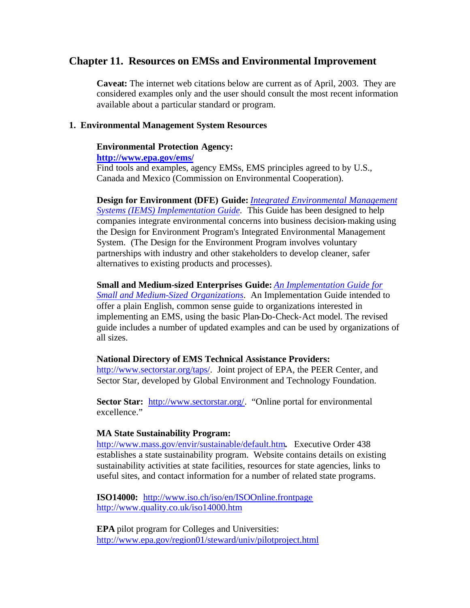### **Chapter 11. Resources on EMSs and Environmental Improvement**

**Caveat:** The internet web citations below are current as of April, 2003. They are considered examples only and the user should consult the most recent information available about a particular standard or program.

#### **1. Environmental Management System Resources**

#### **Environmental Protection Agency:**

**http://www.epa.gov/ems/**

Find tools and examples, agency EMSs, EMS principles agreed to by U.S., Canada and Mexico (Commission on Environmental Cooperation).

**Design for Environment (DFE) Guide:** *Integrated Environmental Management Systems (IEMS) Implementation Guide.* This Guide has been designed to help companies integrate environmental concerns into business decision-making using the Design for Environment Program's Integrated Environmental Management System. (The Design for the Environment Program involves voluntary partnerships with industry and other stakeholders to develop cleaner, safer alternatives to existing products and processes).

**Small and Medium-sized Enterprises Guide:** *An Implementation Guide for Small and Medium-Sized Organizations*. An Implementation Guide intended to offer a plain English, common sense guide to organizations interested in implementing an EMS, using the basic Plan-Do-Check-Act model. The revised guide includes a number of updated examples and can be used by organizations of all sizes.

#### **National Directory of EMS Technical Assistance Providers:**

http://www.sectorstar.org/taps/. Joint project of EPA, the PEER Center, and Sector Star, developed by Global Environment and Technology Foundation.

**Sector Star:** http://www.sectorstar.org/. "Online portal for environmental excellence."

#### **MA State Sustainability Program:**

http://www.mass.gov/envir/sustainable/default.htm**.** Executive Order 438 establishes a state sustainability program. Website contains details on existing sustainability activities at state facilities, resources for state agencies, links to useful sites, and contact information for a number of related state programs.

**ISO14000:** http://www.iso.ch/iso/en/ISOOnline.frontpage http://www.quality.co.uk/iso14000.htm

**EPA** pilot program for Colleges and Universities: http://www.epa.gov/region01/steward/univ/pilotproject.html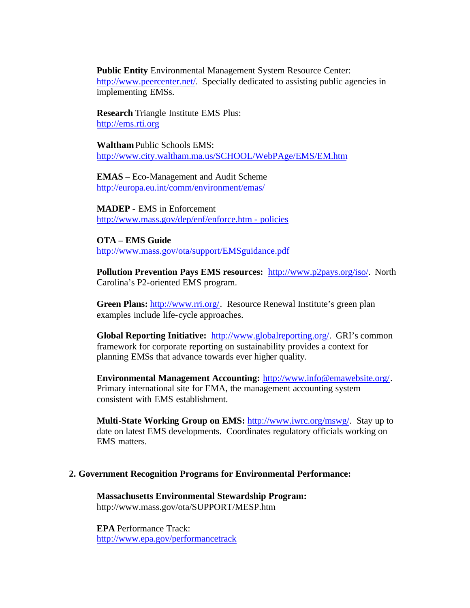**Public Entity** Environmental Management System Resource Center: http://www.peercenter.net/. Specially dedicated to assisting public agencies in implementing EMSs.

**Research** Triangle Institute EMS Plus: http://ems.rti.org

**Waltham** Public Schools EMS: http://www.city.waltham.ma.us/SCHOOL/WebPAge/EMS/EM.htm

**EMAS** – Eco-Management and Audit Scheme http://europa.eu.int/comm/environment/emas/

**MADEP** - EMS in Enforcement http://www.mass.gov/dep/enf/enforce.htm - policies

**OTA – EMS Guide** http://www.mass.gov/ota/support/EMSguidance.pdf

**Pollution Prevention Pays EMS resources:** http://www.p2pays.org/iso/. North Carolina's P2-oriented EMS program.

**Green Plans:** http://www.rri.org/. Resource Renewal Institute's green plan examples include life-cycle approaches.

**Global Reporting Initiative:** http://www.globalreporting.org/. GRI's common framework for corporate reporting on sustainability provides a context for planning EMSs that advance towards ever higher quality.

**Environmental Management Accounting:** http://www.info@emawebsite.org/. Primary international site for EMA, the management accounting system consistent with EMS establishment.

**Multi-State Working Group on EMS:** http://www.iwrc.org/mswg/. Stay up to date on latest EMS developments. Coordinates regulatory officials working on EMS matters.

#### **2. Government Recognition Programs for Environmental Performance:**

**Massachusetts Environmental Stewardship Program:** http://www.mass.gov/ota/SUPPORT/MESP.htm

**EPA** Performance Track: http://www.epa.gov/performancetrack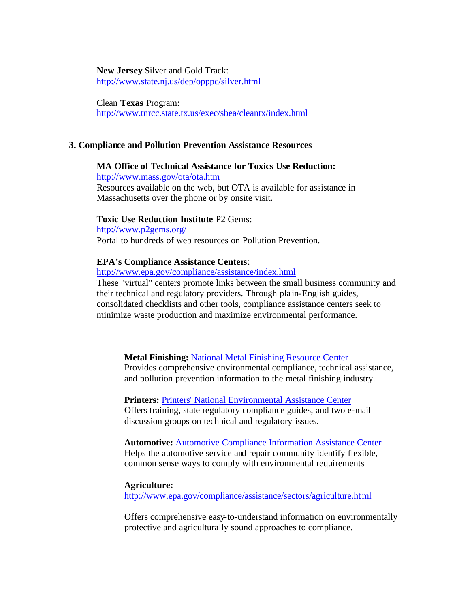**New Jersey** Silver and Gold Track: http://www.state.nj.us/dep/opppc/silver.html

Clean **Texas** Program: http://www.tnrcc.state.tx.us/exec/sbea/cleantx/index.html

#### **3. Compliance and Pollution Prevention Assistance Resources**

### **MA Office of Technical Assistance for Toxics Use Reduction:**

http://www.mass.gov/ota/ota.htm

Resources available on the web, but OTA is available for assistance in Massachusetts over the phone or by onsite visit.

#### **Toxic Use Reduction Institute** P2 Gems:

http://www.p2gems.org/ Portal to hundreds of web resources on Pollution Prevention.

#### **EPA's Compliance Assistance Centers**:

http://www.epa.gov/compliance/assistance/index.html

These "virtual" centers promote links between the small business community and their technical and regulatory providers. Through pla in-English guides, consolidated checklists and other tools, compliance assistance centers seek to minimize waste production and maximize environmental performance.

#### **Metal Finishing:** National Metal Finishing Resource Center

Provides comprehensive environmental compliance, technical assistance, and pollution prevention information to the metal finishing industry.

**Printers:** Printers' National Environmental Assistance Center Offers training, state regulatory compliance guides, and two e-mail discussion groups on technical and regulatory issues.

**Automotive:** Automotive Compliance Information Assistance Center Helps the automotive service and repair community identify flexible, common sense ways to comply with environmental requirements

#### **Agriculture:**

http://www.epa.gov/compliance/assistance/sectors/agriculture.html

Offers comprehensive easy-to-understand information on environmentally protective and agriculturally sound approaches to compliance.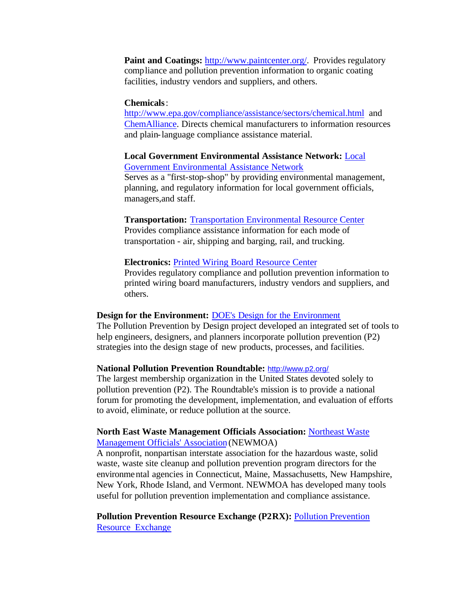**Paint and Coatings: http://www.paintcenter.org/. Provides regulatory** compliance and pollution prevention information to organic coating facilities, industry vendors and suppliers, and others.

#### **Chemicals**:

http://www.epa.gov/compliance/assistance/sectors/chemical.html and ChemAlliance. Directs chemical manufacturers to information resources and plain-language compliance assistance material.

#### **Local Government Environmental Assistance Network:** Local Government Environmental Assistance Network

Serves as a "first-stop-shop" by providing environmental management, planning, and regulatory information for local government officials, managers,and staff.

### **Transportation:** Transportation Environmental Resource Center

Provides compliance assistance information for each mode of transportation - air, shipping and barging, rail, and trucking.

#### **Electronics:** Printed Wiring Board Resource Center

Provides regulatory compliance and pollution prevention information to printed wiring board manufacturers, industry vendors and suppliers, and others.

### **Design for the Environment:** DOE's Design for the Environment

The Pollution Prevention by Design project developed an integrated set of tools to help engineers, designers, and planners incorporate pollution prevention (P2) strategies into the design stage of new products, processes, and facilities.

#### **National Pollution Prevention Roundtable:** http://www.p2.org/

The largest membership organization in the United States devoted solely to pollution prevention (P2). The Roundtable's mission is to provide a national forum for promoting the development, implementation, and evaluation of efforts to avoid, eliminate, or reduce pollution at the source.

#### **North East Waste Management Officials Association:** Northeast Waste Management Officials' Association (NEWMOA)

A nonprofit, nonpartisan interstate association for the hazardous waste, solid waste, waste site cleanup and pollution prevention program directors for the environmental agencies in Connecticut, Maine, Massachusetts, New Hampshire, New York, Rhode Island, and Vermont. NEWMOA has developed many tools useful for pollution prevention implementation and compliance assistance.

### **Pollution Prevention Resource Exchange (P2RX):** Pollution Prevention Resource Exchange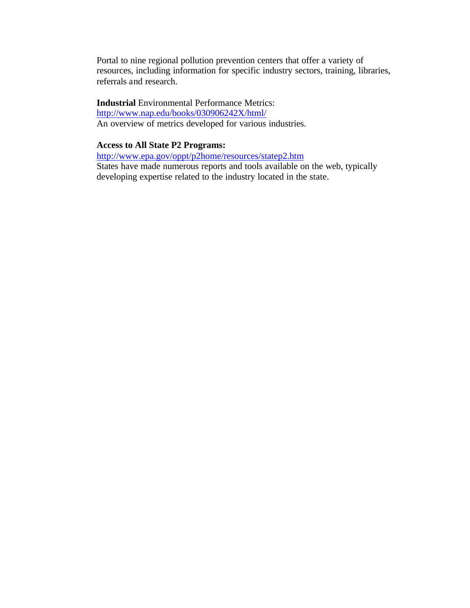Portal to nine regional pollution prevention centers that offer a variety of resources, including information for specific industry sectors, training, libraries, referrals and research.

**Industrial** Environmental Performance Metrics: http://www.nap.edu/books/030906242X/html/ An overview of metrics developed for various industries.

### **Access to All State P2 Programs:**

http://www.epa.gov/oppt/p2home/resources/statep2.htm States have made numerous reports and tools available on the web, typically developing expertise related to the industry located in the state.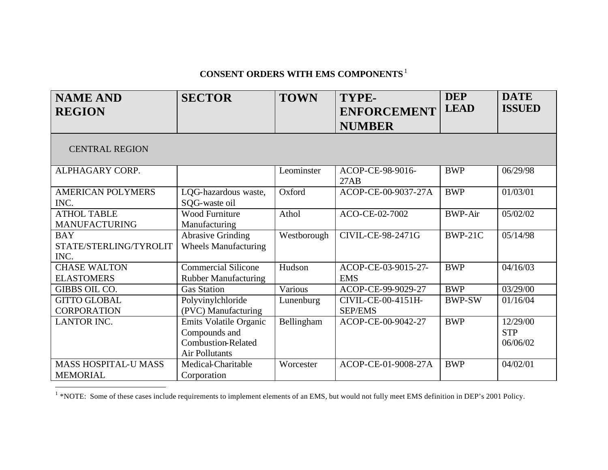# **CONSENT ORDERS WITH EMS COMPONENTS**<sup>1</sup>

| <b>NAME AND</b><br><b>REGION</b>               | <b>SECTOR</b>                                                                          | <b>TOWN</b> | TYPE-<br><b>ENFORCEMENT</b><br><b>NUMBER</b> | <b>DEP</b><br><b>LEAD</b> | <b>DATE</b><br><b>ISSUED</b>       |
|------------------------------------------------|----------------------------------------------------------------------------------------|-------------|----------------------------------------------|---------------------------|------------------------------------|
| <b>CENTRAL REGION</b>                          |                                                                                        |             |                                              |                           |                                    |
| ALPHAGARY CORP.                                |                                                                                        | Leominster  | ACOP-CE-98-9016-<br>27AB                     | <b>BWP</b>                | 06/29/98                           |
| <b>AMERICAN POLYMERS</b><br>INC.               | LQG-hazardous waste,<br>SQG-waste oil                                                  | Oxford      | ACOP-CE-00-9037-27A                          | <b>BWP</b>                | 01/03/01                           |
| <b>ATHOL TABLE</b><br><b>MANUFACTURING</b>     | Wood Furniture<br>Manufacturing                                                        | Athol       | ACO-CE-02-7002                               | <b>BWP-Air</b>            | 05/02/02                           |
| <b>BAY</b><br>STATE/STERLING/TYROLIT<br>INC.   | <b>Abrasive Grinding</b><br><b>Wheels Manufacturing</b>                                | Westborough | CIVIL-CE-98-2471G                            | BWP-21C                   | 05/14/98                           |
| <b>CHASE WALTON</b><br><b>ELASTOMERS</b>       | <b>Commercial Silicone</b><br><b>Rubber Manufacturing</b>                              | Hudson      | ACOP-CE-03-9015-27-<br><b>EMS</b>            | <b>BWP</b>                | 04/16/03                           |
| GIBBS OIL CO.                                  | <b>Gas Station</b>                                                                     | Various     | ACOP-CE-99-9029-27                           | <b>BWP</b>                | 03/29/00                           |
| <b>GITTO GLOBAL</b><br><b>CORPORATION</b>      | Polyvinylchloride<br>(PVC) Manufacturing                                               | Lunenburg   | CIVIL-CE-00-4151H-<br><b>SEP/EMS</b>         | <b>BWP-SW</b>             | 01/16/04                           |
| <b>LANTOR INC.</b>                             | Emits Volatile Organic<br>Compounds and<br><b>Combustion-Related</b><br>Air Pollutants | Bellingham  | ACOP-CE-00-9042-27                           | <b>BWP</b>                | 12/29/00<br><b>STP</b><br>06/06/02 |
| <b>MASS HOSPITAL-U MASS</b><br><b>MEMORIAL</b> | Medical-Charitable<br>Corporation                                                      | Worcester   | ACOP-CE-01-9008-27A                          | <b>BWP</b>                | 04/02/01                           |

<sup>1</sup> \*NOTE: Some of these cases include requirements to implement elements of an EMS, but would not fully meet EMS definition in DEP's 2001 Policy.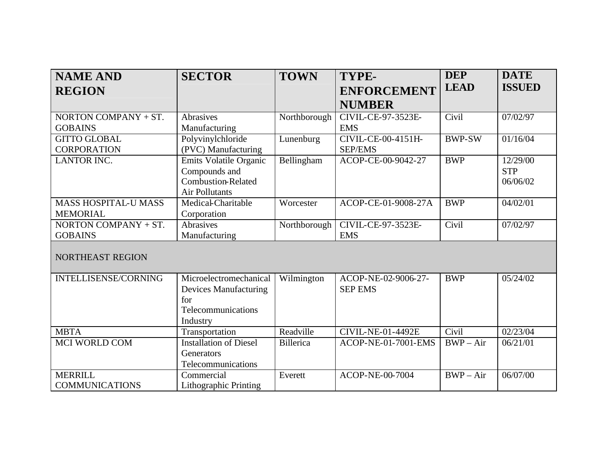| <b>NAME AND</b>             | <b>SECTOR</b>                 | <b>TOWN</b>      | TYPE-                      | <b>DEP</b>             | <b>DATE</b>   |
|-----------------------------|-------------------------------|------------------|----------------------------|------------------------|---------------|
| <b>REGION</b>               |                               |                  | <b>ENFORCEMENT</b>         | <b>LEAD</b>            | <b>ISSUED</b> |
|                             |                               |                  | <b>NUMBER</b>              |                        |               |
| NORTON COMPANY $+ ST.$      | Abrasives                     | Northborough     | CIVIL-CE-97-3523E-         | Civil                  | 07/02/97      |
| <b>GOBAINS</b>              | Manufacturing                 |                  | <b>EMS</b>                 |                        |               |
| <b>GITTO GLOBAL</b>         | Polyvinylchloride             | Lunenburg        | CIVIL-CE-00-4151H-         | <b>BWP-SW</b>          | 01/16/04      |
| <b>CORPORATION</b>          | (PVC) Manufacturing           |                  | <b>SEP/EMS</b>             |                        |               |
| <b>LANTOR INC.</b>          | Emits Volatile Organic        | Bellingham       | ACOP-CE-00-9042-27         | <b>BWP</b>             | 12/29/00      |
|                             | Compounds and                 |                  |                            |                        | <b>STP</b>    |
|                             | <b>Combustion-Related</b>     |                  |                            |                        | 06/06/02      |
|                             | <b>Air Pollutants</b>         |                  |                            |                        |               |
| <b>MASS HOSPITAL-U MASS</b> | Medical-Charitable            | Worcester        | ACOP-CE-01-9008-27A        | <b>BWP</b>             | 04/02/01      |
| <b>MEMORIAL</b>             | Corporation                   |                  |                            |                        |               |
| NORTON COMPANY $+ ST$ .     | Abrasives                     | Northborough     | CIVIL-CE-97-3523E-         | Civil                  | 07/02/97      |
| <b>GOBAINS</b>              | Manufacturing                 |                  | <b>EMS</b>                 |                        |               |
|                             |                               |                  |                            |                        |               |
| NORTHEAST REGION            |                               |                  |                            |                        |               |
|                             |                               |                  |                            |                        |               |
| INTELLISENSE/CORNING        | Microelectromechanical        | Wilmington       | ACOP-NE-02-9006-27-        | <b>BWP</b>             | 05/24/02      |
|                             | <b>Devices Manufacturing</b>  |                  | <b>SEP EMS</b>             |                        |               |
|                             | for                           |                  |                            |                        |               |
|                             | Telecommunications            |                  |                            |                        |               |
|                             | Industry                      |                  |                            |                        |               |
| <b>MBTA</b>                 | Transportation                | Readville        | <b>CIVIL-NE-01-4492E</b>   | Civil                  | 02/23/04      |
| MCI WORLD COM               | <b>Installation of Diesel</b> | <b>Billerica</b> | <b>ACOP-NE-01-7001-EMS</b> | $\overline{BWP} - Air$ | 06/21/01      |
|                             | Generators                    |                  |                            |                        |               |
|                             | Telecommunications            |                  |                            |                        |               |
| <b>MERRILL</b>              | Commercial                    | Everett          | ACOP-NE-00-7004            | $BWP - Air$            | 06/07/00      |
| <b>COMMUNICATIONS</b>       | Lithographic Printing         |                  |                            |                        |               |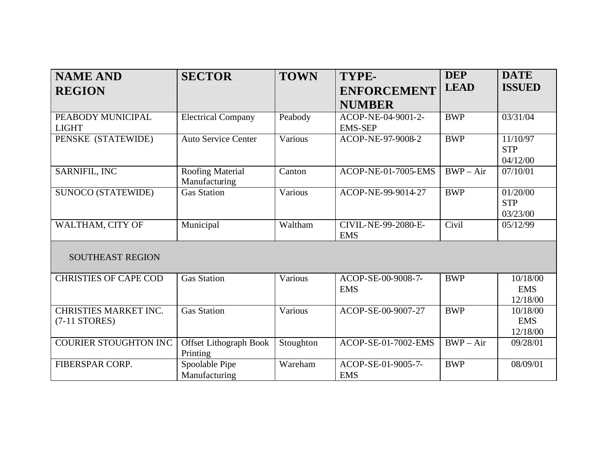| <b>NAME AND</b>              | <b>SECTOR</b>                 | <b>TOWN</b> | TYPE-               | <b>DEP</b>  | <b>DATE</b>   |
|------------------------------|-------------------------------|-------------|---------------------|-------------|---------------|
| <b>REGION</b>                |                               |             | <b>ENFORCEMENT</b>  | <b>LEAD</b> | <b>ISSUED</b> |
|                              |                               |             | <b>NUMBER</b>       |             |               |
| PEABODY MUNICIPAL            | <b>Electrical Company</b>     | Peabody     | ACOP-NE-04-9001-2-  | <b>BWP</b>  | 03/31/04      |
| <b>LIGHT</b>                 |                               |             | <b>EMS-SEP</b>      |             |               |
| PENSKE (STATEWIDE)           | <b>Auto Service Center</b>    | Various     | ACOP-NE-97-9008-2   | <b>BWP</b>  | 11/10/97      |
|                              |                               |             |                     |             | <b>STP</b>    |
|                              |                               |             |                     |             | 04/12/00      |
| SARNIFIL, INC                | <b>Roofing Material</b>       | Canton      | ACOP-NE-01-7005-EMS | $BWP - Air$ | 07/10/01      |
|                              | Manufacturing                 |             |                     |             |               |
| <b>SUNOCO (STATEWIDE)</b>    | <b>Gas Station</b>            | Various     | ACOP-NE-99-9014-27  | <b>BWP</b>  | 01/20/00      |
|                              |                               |             |                     |             | <b>STP</b>    |
|                              |                               |             |                     |             | 03/23/00      |
| WALTHAM, CITY OF             | Municipal                     | Waltham     | CIVIL-NE-99-2080-E- | Civil       | 05/12/99      |
|                              |                               |             | <b>EMS</b>          |             |               |
|                              |                               |             |                     |             |               |
| <b>SOUTHEAST REGION</b>      |                               |             |                     |             |               |
|                              |                               |             |                     |             |               |
| <b>CHRISTIES OF CAPE COD</b> | <b>Gas Station</b>            | Various     | ACOP-SE-00-9008-7-  | <b>BWP</b>  | 10/18/00      |
|                              |                               |             | <b>EMS</b>          |             | <b>EMS</b>    |
|                              |                               |             |                     |             | 12/18/00      |
| <b>CHRISTIES MARKET INC.</b> | <b>Gas Station</b>            | Various     | ACOP-SE-00-9007-27  | <b>BWP</b>  | 10/18/00      |
| $(7-11$ STORES)              |                               |             |                     |             | <b>EMS</b>    |
|                              |                               |             |                     |             | 12/18/00      |
|                              |                               |             |                     | $BWP - Air$ |               |
| <b>COURIER STOUGHTON INC</b> | <b>Offset Lithograph Book</b> | Stoughton   | ACOP-SE-01-7002-EMS |             | 09/28/01      |
|                              | Printing                      |             |                     |             |               |
| FIBERSPAR CORP.              | Spoolable Pipe                | Wareham     | ACOP-SE-01-9005-7-  | <b>BWP</b>  | 08/09/01      |
|                              | Manufacturing                 |             | <b>EMS</b>          |             |               |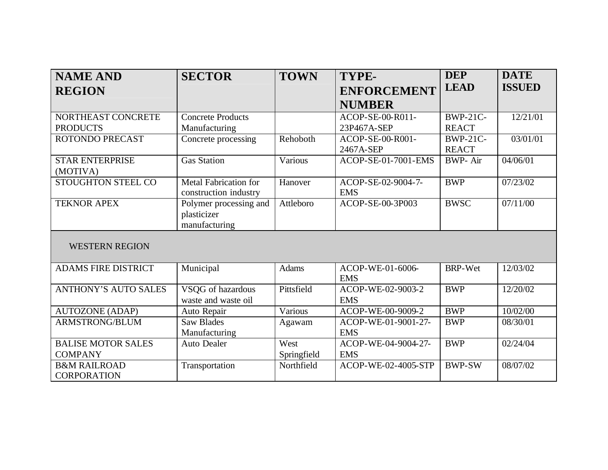| <b>NAME AND</b>             | <b>SECTOR</b>            | <b>TOWN</b>  | TYPE-                      | <b>DEP</b>      | <b>DATE</b>   |
|-----------------------------|--------------------------|--------------|----------------------------|-----------------|---------------|
| <b>REGION</b>               |                          |              | <b>ENFORCEMENT</b>         | <b>LEAD</b>     | <b>ISSUED</b> |
|                             |                          |              | <b>NUMBER</b>              |                 |               |
| NORTHEAST CONCRETE          | <b>Concrete Products</b> |              | ACOP-SE-00-R011-           | <b>BWP-21C-</b> | 12/21/01      |
| <b>PRODUCTS</b>             | Manufacturing            |              | 23P467A-SEP                | <b>REACT</b>    |               |
| <b>ROTONDO PRECAST</b>      | Concrete processing      | Rehoboth     | ACOP-SE-00-R001-           | <b>BWP-21C-</b> | 03/01/01      |
|                             |                          |              | 2467A-SEP                  | <b>REACT</b>    |               |
| <b>STAR ENTERPRISE</b>      | <b>Gas Station</b>       | Various      | <b>ACOP-SE-01-7001-EMS</b> | <b>BWP-Air</b>  | 04/06/01      |
| (MOTIVA)                    |                          |              |                            |                 |               |
| STOUGHTON STEEL CO          | Metal Fabrication for    | Hanover      | ACOP-SE-02-9004-7-         | <b>BWP</b>      | 07/23/02      |
|                             | construction industry    |              | <b>EMS</b>                 |                 |               |
| <b>TEKNOR APEX</b>          | Polymer processing and   | Attleboro    | ACOP-SE-00-3P003           | <b>BWSC</b>     | 07/11/00      |
|                             | plasticizer              |              |                            |                 |               |
|                             | manufacturing            |              |                            |                 |               |
| <b>WESTERN REGION</b>       |                          |              |                            |                 |               |
| <b>ADAMS FIRE DISTRICT</b>  | Municipal                | <b>Adams</b> | ACOP-WE-01-6006-           | <b>BRP-Wet</b>  | 12/03/02      |
|                             |                          |              | <b>EMS</b>                 |                 |               |
| <b>ANTHONY'S AUTO SALES</b> | VSQG of hazardous        | Pittsfield   | ACOP-WE-02-9003-2          | <b>BWP</b>      | 12/20/02      |
|                             | waste and waste oil      |              | <b>EMS</b>                 |                 |               |
| <b>AUTOZONE (ADAP)</b>      | Auto Repair              | Various      | ACOP-WE-00-9009-2          | <b>BWP</b>      | 10/02/00      |
| <b>ARMSTRONG/BLUM</b>       | <b>Saw Blades</b>        | Agawam       | ACOP-WE-01-9001-27-        | <b>BWP</b>      | 08/30/01      |
|                             | Manufacturing            |              | <b>EMS</b>                 |                 |               |
| <b>BALISE MOTOR SALES</b>   | <b>Auto Dealer</b>       | West         | ACOP-WE-04-9004-27-        | <b>BWP</b>      | 02/24/04      |
| <b>COMPANY</b>              |                          | Springfield  | <b>EMS</b>                 |                 |               |
| <b>B&amp;M RAILROAD</b>     | Transportation           | Northfield   | ACOP-WE-02-4005-STP        | <b>BWP-SW</b>   | 08/07/02      |
| <b>CORPORATION</b>          |                          |              |                            |                 |               |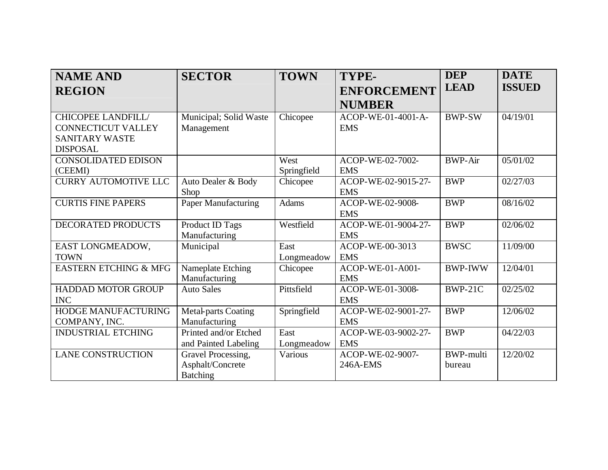| <b>NAME AND</b>                  | <b>SECTOR</b>              | <b>TOWN</b>  | TYPE-               | <b>DEP</b>       | <b>DATE</b>   |
|----------------------------------|----------------------------|--------------|---------------------|------------------|---------------|
| <b>REGION</b>                    |                            |              | <b>ENFORCEMENT</b>  | <b>LEAD</b>      | <b>ISSUED</b> |
|                                  |                            |              | <b>NUMBER</b>       |                  |               |
| <b>CHICOPEE LANDFILL/</b>        | Municipal; Solid Waste     | Chicopee     | ACOP-WE-01-4001-A-  | <b>BWP-SW</b>    | 04/19/01      |
| <b>CONNECTICUT VALLEY</b>        | Management                 |              | <b>EMS</b>          |                  |               |
| <b>SANITARY WASTE</b>            |                            |              |                     |                  |               |
| <b>DISPOSAL</b>                  |                            |              |                     |                  |               |
| <b>CONSOLIDATED EDISON</b>       |                            | West         | ACOP-WE-02-7002-    | <b>BWP-Air</b>   | 05/01/02      |
| (CEEMI)                          |                            | Springfield  | <b>EMS</b>          |                  |               |
| <b>CURRY AUTOMOTIVE LLC</b>      | Auto Dealer & Body         | Chicopee     | ACOP-WE-02-9015-27- | <b>BWP</b>       | 02/27/03      |
|                                  | Shop                       |              | <b>EMS</b>          |                  |               |
| <b>CURTIS FINE PAPERS</b>        | Paper Manufacturing        | <b>Adams</b> | ACOP-WE-02-9008-    | <b>BWP</b>       | 08/16/02      |
|                                  |                            |              | <b>EMS</b>          |                  |               |
| <b>DECORATED PRODUCTS</b>        | Product ID Tags            | Westfield    | ACOP-WE-01-9004-27- | <b>BWP</b>       | 02/06/02      |
|                                  | Manufacturing              |              | <b>EMS</b>          |                  |               |
| EAST LONGMEADOW,                 | Municipal                  | East         | ACOP-WE-00-3013     | <b>BWSC</b>      | 11/09/00      |
| <b>TOWN</b>                      |                            | Longmeadow   | <b>EMS</b>          |                  |               |
| <b>EASTERN ETCHING &amp; MFG</b> | Nameplate Etching          | Chicopee     | ACOP-WE-01-A001-    | <b>BWP-IWW</b>   | 12/04/01      |
|                                  | Manufacturing              |              | <b>EMS</b>          |                  |               |
| <b>HADDAD MOTOR GROUP</b>        | <b>Auto Sales</b>          | Pittsfield   | ACOP-WE-01-3008-    | <b>BWP-21C</b>   | 02/25/02      |
| <b>INC</b>                       |                            |              | <b>EMS</b>          |                  |               |
| HODGE MANUFACTURING              | <b>Metal-parts Coating</b> | Springfield  | ACOP-WE-02-9001-27- | <b>BWP</b>       | 12/06/02      |
| COMPANY, INC.                    | Manufacturing              |              | <b>EMS</b>          |                  |               |
| <b>INDUSTRIAL ETCHING</b>        | Printed and/or Etched      | East         | ACOP-WE-03-9002-27- | <b>BWP</b>       | 04/22/03      |
|                                  | and Painted Labeling       | Longmeadow   | <b>EMS</b>          |                  |               |
| <b>LANE CONSTRUCTION</b>         | Gravel Processing,         | Various      | ACOP-WE-02-9007-    | <b>BWP-multi</b> | 12/20/02      |
|                                  | Asphalt/Concrete           |              | 246A-EMS            | bureau           |               |
|                                  | <b>Batching</b>            |              |                     |                  |               |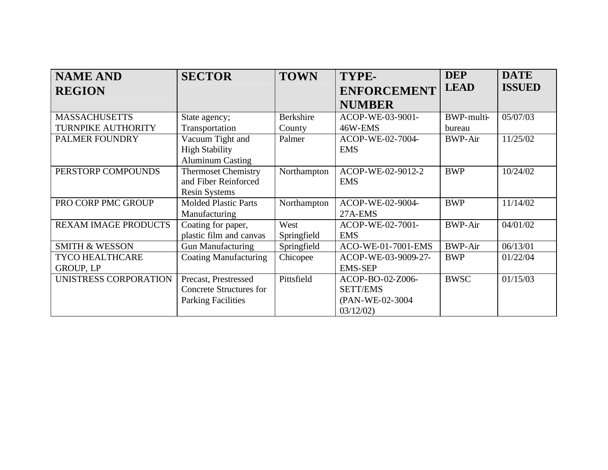| <b>NAME AND</b>             | <b>SECTOR</b>                | <b>TOWN</b> | TYPE-               | <b>DEP</b>        | <b>DATE</b>   |
|-----------------------------|------------------------------|-------------|---------------------|-------------------|---------------|
| <b>REGION</b>               |                              |             | <b>ENFORCEMENT</b>  | <b>LEAD</b>       | <b>ISSUED</b> |
|                             |                              |             | <b>NUMBER</b>       |                   |               |
| <b>MASSACHUSETTS</b>        | State agency;                | Berkshire   | ACOP-WE-03-9001-    | <b>BWP-multi-</b> | 05/07/03      |
| <b>TURNPIKE AUTHORITY</b>   | Transportation               | County      | 46W-EMS             | bureau            |               |
| PALMER FOUNDRY              | Vacuum Tight and             | Palmer      | ACOP-WE-02-7004-    | <b>BWP-Air</b>    | 11/25/02      |
|                             | <b>High Stability</b>        |             | <b>EMS</b>          |                   |               |
|                             | <b>Aluminum Casting</b>      |             |                     |                   |               |
| PERSTORP COMPOUNDS          | <b>Thermoset Chemistry</b>   | Northampton | ACOP-WE-02-9012-2   | <b>BWP</b>        | 10/24/02      |
|                             | and Fiber Reinforced         |             | <b>EMS</b>          |                   |               |
|                             | <b>Resin Systems</b>         |             |                     |                   |               |
| PRO CORP PMC GROUP          | <b>Molded Plastic Parts</b>  | Northampton | ACOP-WE-02-9004-    | <b>BWP</b>        | 11/14/02      |
|                             | Manufacturing                |             | 27A-EMS             |                   |               |
| <b>REXAM IMAGE PRODUCTS</b> | Coating for paper,           | West        | ACOP-WE-02-7001-    | <b>BWP-Air</b>    | 04/01/02      |
|                             | plastic film and canvas      | Springfield | <b>EMS</b>          |                   |               |
| <b>SMITH &amp; WESSON</b>   | <b>Gun Manufacturing</b>     | Springfield | ACO-WE-01-7001-EMS  | <b>BWP-Air</b>    | 06/13/01      |
| <b>TYCO HEALTHCARE</b>      | <b>Coating Manufacturing</b> | Chicopee    | ACOP-WE-03-9009-27- | <b>BWP</b>        | 01/22/04      |
| <b>GROUP, LP</b>            |                              |             | <b>EMS-SEP</b>      |                   |               |
| UNISTRESS CORPORATION       | Precast, Prestressed         | Pittsfield  | ACOP-BO-02-Z006-    | <b>BWSC</b>       | 01/15/03      |
|                             | Concrete Structures for      |             | <b>SETT/EMS</b>     |                   |               |
|                             | <b>Parking Facilities</b>    |             | (PAN-WE-02-3004     |                   |               |
|                             |                              |             | 03/12/02            |                   |               |